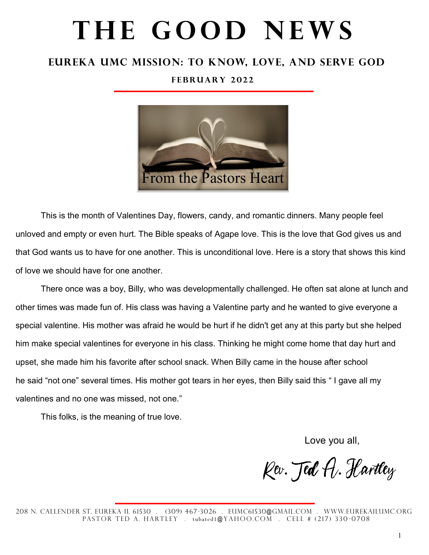# THE GOOD NEWS

### **Eureka UMc Mission: To Know, Love, and Serve God**

#### **F e b r u a r y 2 0 2 2**



This is the month of Valentines Day, flowers, candy, and romantic dinners. Many people feel unloved and empty or even hurt. The Bible speaks of Agape love. This is the love that God gives us and that God wants us to have for one another. This is unconditional love. Here is a story that shows this kind of love we should have for one another.

There once was a boy, Billy, who was developmentally challenged. He often sat alone at lunch and other times was made fun of. His class was having a Valentine party and he wanted to give everyone a special valentine. His mother was afraid he would be hurt if he didn't get any at this party but she helped him make special valentines for everyone in his class. Thinking he might come home that day hurt and upset, she made him his favorite after school snack. When Billy came in the house after school he said "not one" several times. His mother got tears in her eyes, then Billy said this " I gave all my valentines and no one was missed, not one."

This folks, is the meaning of true love.

Love you all,

Kev. Jed A. Hartley

208 N. Callender St. Eureka IL 61530 . (309) 467-3026 . eumc61530@gmail.com . WWw.eurekailumc.org PASTOR TED A. HARTLEY . tubated1@YAHOO.COM . CELL # (217) 330-0708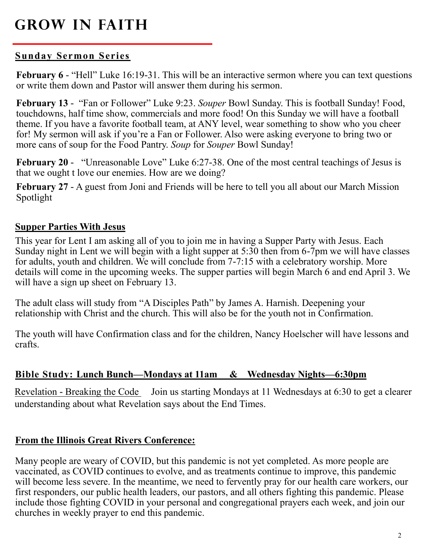# **Grow in Faith**

#### **Sunday Sermon Series**

**February 6** - "Hell" Luke 16:19-31. This will be an interactive sermon where you can text questions or write them down and Pastor will answer them during his sermon.

**February 13** - "Fan or Follower" Luke 9:23. *Souper* Bowl Sunday. This is football Sunday! Food, touchdowns, half time show, commercials and more food! On this Sunday we will have a football theme. If you have a favorite football team, at ANY level, wear something to show who you cheer for! My sermon will ask if you're a Fan or Follower. Also were asking everyone to bring two or more cans of soup for the Food Pantry. *Soup* for *Souper* Bowl Sunday!

**February 20** -"Unreasonable Love" Luke 6:27-38. One of the most central teachings of Jesus is that we ought t love our enemies. How are we doing?

**February 27** - A guest from Joni and Friends will be here to tell you all about our March Mission Spotlight

#### **Supper Parties With Jesus**

This year for Lent I am asking all of you to join me in having a Supper Party with Jesus. Each Sunday night in Lent we will begin with a light supper at 5:30 then from 6-7pm we will have classes for adults, youth and children. We will conclude from 7-7:15 with a celebratory worship. More details will come in the upcoming weeks. The supper parties will begin March 6 and end April 3. We will have a sign up sheet on February 13.

The adult class will study from "A Disciples Path" by James A. Harnish. Deepening your relationship with Christ and the church. This will also be for the youth not in Confirmation.

The youth will have Confirmation class and for the children, Nancy Hoelscher will have lessons and crafts.

#### **Bible Study: Lunch Bunch—Mondays at 11am & Wednesday Nights—6:30pm**

Revelation - Breaking the Code Join us starting Mondays at 11 Wednesdays at 6:30 to get a clearer understanding about what Revelation says about the End Times.

#### **From the Illinois Great Rivers Conference:**

Many people are weary of COVID, but this pandemic is not yet completed. As more people are vaccinated, as COVID continues to evolve, and as treatments continue to improve, this pandemic will become less severe. In the meantime, we need to fervently pray for our health care workers, our first responders, our public health leaders, our pastors, and all others fighting this pandemic. Please include those fighting COVID in your personal and congregational prayers each week, and join our churches in weekly prayer to end this pandemic.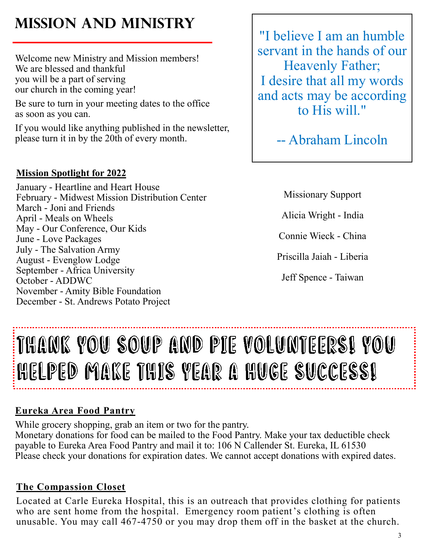# **Mission and Ministry**

Welcome new Ministry and Mission members! We are blessed and thankful you will be a part of serving our church in the coming year!

Be sure to turn in your meeting dates to the office as soon as you can.

If you would like anything published in the newsletter, please turn it in by the 20th of every month.

### **Mission Spotlight for 2022**

January - Heartline and Heart House February - Midwest Mission Distribution Center March - Joni and Friends April - Meals on Wheels May - Our Conference, Our Kids June - Love Packages July - The Salvation Army August - Evenglow Lodge September - Africa University October - ADDWC November - Amity Bible Foundation December - St. Andrews Potato Project

"I believe I am an humble servant in the hands of our Heavenly Father; I desire that all my words and acts may be according to His will."

-- Abraham Lincoln

Missionary Support

Alicia Wright - India

Connie Wieck - China

Priscilla Jaiah - Liberia

Jeff Spence - Taiwan

# THANK YOU SOUP AND PIE VOLUNTEERSI YOU HELPED MAKE THIS YEAR A HUGE SUCCESSI

## **Eureka Area Food Pantry**

While grocery shopping, grab an item or two for the pantry. Monetary donations for food can be mailed to the Food Pantry. Make your tax deductible check payable to Eureka Area Food Pantry and mail it to: 106 N Callender St. Eureka, IL 61530 Please check your donations for expiration dates. We cannot accept donations with expired dates.

## **The Compassion Closet**

Located at Carle Eureka Hospital, this is an outreach that provides clothing for patients who are sent home from the hospital. Emergency room patient's clothing is often unusable. You may call 467-4750 or you may drop them off in the basket at the church.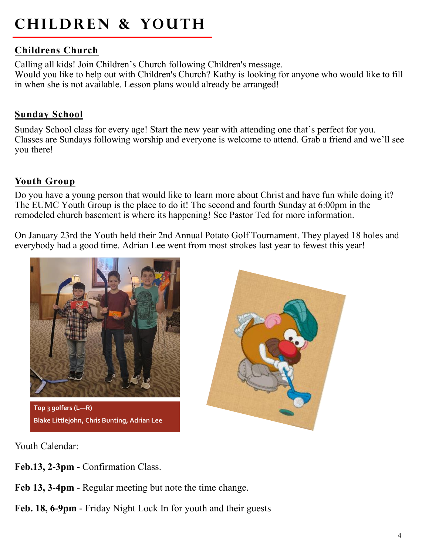# **CHILDREN & YOUTH**

#### **Childrens Church**

Calling all kids! Join Children's Church following Children's message. Would you like to help out with Children's Church? Kathy is looking for anyone who would like to fill in when she is not available. Lesson plans would already be arranged!

#### **Sunday School**

Sunday School class for every age! Start the new year with attending one that's perfect for you. Classes are Sundays following worship and everyone is welcome to attend. Grab a friend and we'll see you there!

#### **Youth Group**

Do you have a young person that would like to learn more about Christ and have fun while doing it? The EUMC Youth Group is the place to do it! The second and fourth Sunday at 6:00pm in the remodeled church basement is where its happening! See Pastor Ted for more information.

On January 23rd the Youth held their 2nd Annual Potato Golf Tournament. They played 18 holes and everybody had a good time. Adrian Lee went from most strokes last year to fewest this year!



**Top 3 golfers (L—R) Blake Littlejohn, Chris Bunting, Adrian Lee**



Youth Calendar:

- **Feb.13, 2-3pm**  Confirmation Class.
- **Feb 13, 3-4pm**  Regular meeting but note the time change.
- **Feb. 18, 6-9pm**  Friday Night Lock In for youth and their guests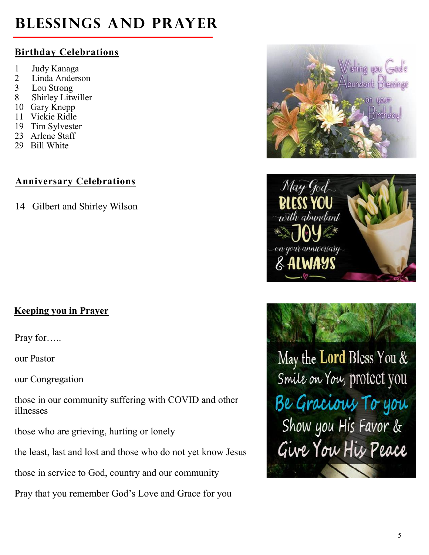# **Blessings and Prayer**

## **Birthday Celebrations**

- 1 Judy Kanaga
- 2 Linda Anderson
- 3 Lou Strong
- 8 Shirley Litwiller
- 10 Gary Knepp
- 11 Vickie Ridle
- 19 Tim Sylvester
- 23 Arlene Staff
- 29 Bill White

## **Anniversary Celebrations**

14 Gilbert and Shirley Wilson

## **Keeping you in Prayer**

Pray for…..

our Pastor

our Congregation

those in our community suffering with COVID and other illnesses

those who are grieving, hurting or lonely

the least, last and lost and those who do not yet know Jesus

those in service to God, country and our community

Pray that you remember God's Love and Grace for you